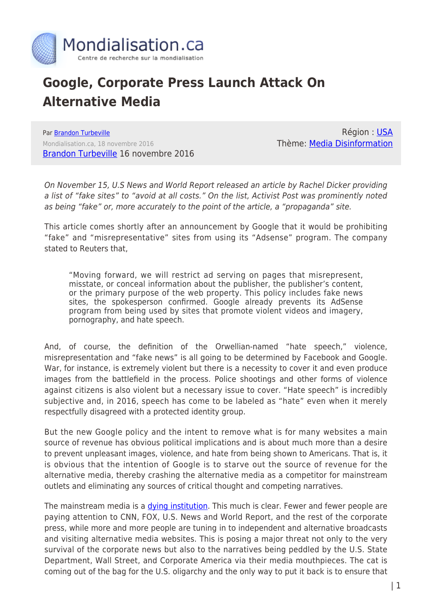

## **Google, Corporate Press Launch Attack On Alternative Media**

Par [Brandon Turbeville](https://www.mondialisation.ca/author/brandon-turbeville) Mondialisation.ca, 18 novembre 2016 [Brandon Turbeville](http://www.brandonturbeville.com/2016/11/google-corporate-press-launch-attack-on.html#more) 16 novembre 2016

Région : [USA](https://www.mondialisation.ca/region/usa) Thème: [Media Disinformation](https://www.mondialisation.ca/theme/media-disinformation)

On November 15, U.S News and World Report released an article by Rachel Dicker providing a list of "fake sites" to "avoid at all costs." On the list, Activist Post was prominently noted as being "fake" or, more accurately to the point of the article, a "propaganda" site.

This article comes shortly after an announcement by Google that it would be prohibiting "fake" and "misrepresentative" sites from using its "Adsense" program. The company stated to Reuters that,

"Moving forward, we will restrict ad serving on pages that misrepresent, misstate, or conceal information about the publisher, the publisher's content, or the primary purpose of the web property. This policy includes fake news sites, the spokesperson confirmed. Google already prevents its AdSense program from being used by sites that promote violent videos and imagery, pornography, and hate speech.

And, of course, the definition of the Orwellian-named "hate speech," violence, misrepresentation and "fake news" is all going to be determined by Facebook and Google. War, for instance, is extremely violent but there is a necessity to cover it and even produce images from the battlefield in the process. Police shootings and other forms of violence against citizens is also violent but a necessary issue to cover. "Hate speech" is incredibly subjective and, in 2016, speech has come to be labeled as "hate" even when it merely respectfully disagreed with a protected identity group.

But the new Google policy and the intent to remove what is for many websites a main source of revenue has obvious political implications and is about much more than a desire to prevent unpleasant images, violence, and hate from being shown to Americans. That is, it is obvious that the intention of Google is to starve out the source of revenue for the alternative media, thereby crashing the alternative media as a competitor for mainstream outlets and eliminating any sources of critical thought and competing narratives.

The mainstream media is a [dying institution](http://www.usnews.com/news/articles/2016-09-15/distrust-of-media-at-highest-level-ever). This much is clear. Fewer and fewer people are paying attention to CNN, FOX, U.S. News and World Report, and the rest of the corporate press, while more and more people are tuning in to independent and alternative broadcasts and visiting alternative media websites. This is posing a major threat not only to the very survival of the corporate news but also to the narratives being peddled by the U.S. State Department, Wall Street, and Corporate America via their media mouthpieces. The cat is coming out of the bag for the U.S. oligarchy and the only way to put it back is to ensure that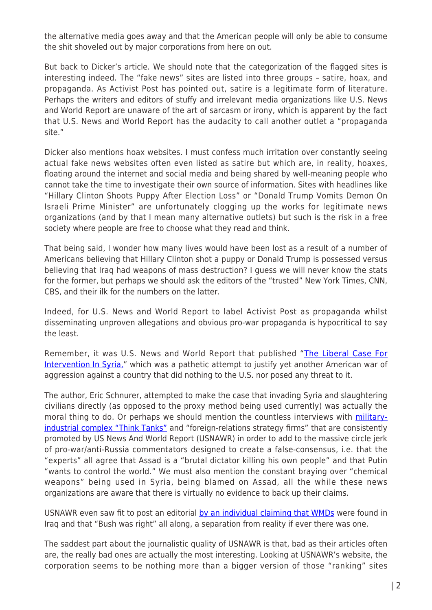the alternative media goes away and that the American people will only be able to consume the shit shoveled out by major corporations from here on out.

But back to Dicker's article. We should note that the categorization of the flagged sites is interesting indeed. The "fake news" sites are listed into three groups – satire, hoax, and propaganda. As Activist Post has pointed out, satire is a legitimate form of literature. Perhaps the writers and editors of stuffy and irrelevant media organizations like U.S. News and World Report are unaware of the art of sarcasm or irony, which is apparent by the fact that U.S. News and World Report has the audacity to call another outlet a "propaganda site."

Dicker also mentions hoax websites. I must confess much irritation over constantly seeing actual fake news websites often even listed as satire but which are, in reality, hoaxes, floating around the internet and social media and being shared by well-meaning people who cannot take the time to investigate their own source of information. Sites with headlines like "Hillary Clinton Shoots Puppy After Election Loss" or "Donald Trump Vomits Demon On Israeli Prime Minister" are unfortunately clogging up the works for legitimate news organizations (and by that I mean many alternative outlets) but such is the risk in a free society where people are free to choose what they read and think.

That being said, I wonder how many lives would have been lost as a result of a number of Americans believing that Hillary Clinton shot a puppy or Donald Trump is possessed versus believing that Iraq had weapons of mass destruction? I guess we will never know the stats for the former, but perhaps we should ask the editors of the "trusted" New York Times, CNN, CBS, and their ilk for the numbers on the latter.

Indeed, for U.S. News and World Report to label Activist Post as propaganda whilst disseminating unproven allegations and obvious pro-war propaganda is hypocritical to say the least.

Remember, it was U.S. News and World Report that published "[The Liberal Case For](http://www.usnews.com/opinion/blogs/eric-schnurer/2014/10/14/the-liberal-case-for-intervening-in-syria-and-iraq) [Intervention In Syria,](http://www.usnews.com/opinion/blogs/eric-schnurer/2014/10/14/the-liberal-case-for-intervening-in-syria-and-iraq)" which was a pathetic attempt to justify yet another American war of aggression against a country that did nothing to the U.S. nor posed any threat to it.

The author, Eric Schnurer, attempted to make the case that invading Syria and slaughtering civilians directly (as opposed to the proxy method being used currently) was actually the moral thing to do. Or perhaps we should mention the countless interviews with [military](http://www.usnews.com/news/the-report/articles/2016-02-26/putins-plans-beyond-ukraine-into-syria)[industrial complex "Think Tanks"](http://www.usnews.com/news/the-report/articles/2016-02-26/putins-plans-beyond-ukraine-into-syria) and "foreign-relations strategy firms" that are consistently promoted by US News And World Report (USNAWR) in order to add to the massive circle jerk of pro-war/anti-Russia commentators designed to create a false-consensus, i.e. that the "experts" all agree that Assad is a "brutal dictator killing his own people" and that Putin "wants to control the world." We must also mention the constant braying over "chemical weapons" being used in Syria, being blamed on Assad, all the while these news organizations are aware that there is virtually no evidence to back up their claims.

USNAWR even saw fit to post an editorial [by an individual claiming that WMDs](http://www.usnews.com/opinion/blogs/world-report/2014/10/29/islamic-state-group-wmds-prove-bush-was-right) were found in Iraq and that "Bush was right" all along, a separation from reality if ever there was one.

The saddest part about the journalistic quality of USNAWR is that, bad as their articles often are, the really bad ones are actually the most interesting. Looking at USNAWR's website, the corporation seems to be nothing more than a bigger version of those "ranking" sites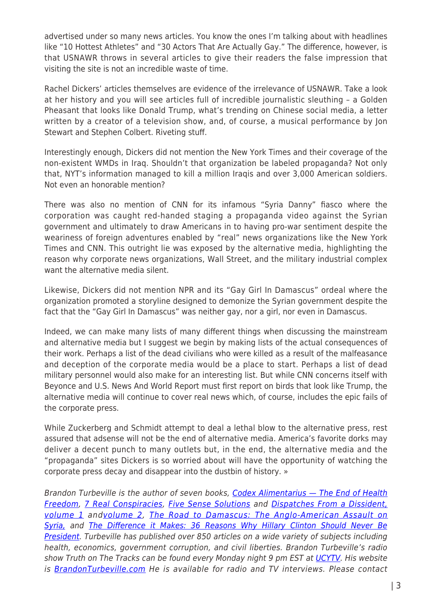advertised under so many news articles. You know the ones I'm talking about with headlines like "10 Hottest Athletes" and "30 Actors That Are Actually Gay." The difference, however, is that USNAWR throws in several articles to give their readers the false impression that visiting the site is not an incredible waste of time.

Rachel Dickers' articles themselves are evidence of the irrelevance of USNAWR. Take a look at her history and you will see articles full of incredible journalistic sleuthing – a Golden Pheasant that looks like Donald Trump, what's trending on Chinese social media, a letter written by a creator of a television show, and, of course, a musical performance by Jon Stewart and Stephen Colbert. Riveting stuff.

Interestingly enough, Dickers did not mention the New York Times and their coverage of the non-existent WMDs in Iraq. Shouldn't that organization be labeled propaganda? Not only that, NYT's information managed to kill a million Iraqis and over 3,000 American soldiers. Not even an honorable mention?

There was also no mention of CNN for its infamous "Syria Danny" fiasco where the corporation was caught red-handed staging a propaganda video against the Syrian government and ultimately to draw Americans in to having pro-war sentiment despite the weariness of foreign adventures enabled by "real" news organizations like the New York Times and CNN. This outright lie was exposed by the alternative media, highlighting the reason why corporate news organizations, Wall Street, and the military industrial complex want the alternative media silent.

Likewise, Dickers did not mention NPR and its "Gay Girl In Damascus" ordeal where the organization promoted a storyline designed to demonize the Syrian government despite the fact that the "Gay Girl In Damascus" was neither gay, nor a girl, nor even in Damascus.

Indeed, we can make many lists of many different things when discussing the mainstream and alternative media but I suggest we begin by making lists of the actual consequences of their work. Perhaps a list of the dead civilians who were killed as a result of the malfeasance and deception of the corporate media would be a place to start. Perhaps a list of dead military personnel would also make for an interesting list. But while CNN concerns itself with Beyonce and U.S. News And World Report must first report on birds that look like Trump, the alternative media will continue to cover real news which, of course, includes the epic fails of the corporate press.

While Zuckerberg and Schmidt attempt to deal a lethal blow to the alternative press, rest assured that adsense will not be the end of alternative media. America's favorite dorks may deliver a decent punch to many outlets but, in the end, the alternative media and the "propaganda" sites Dickers is so worried about will have the opportunity of watching the corporate press decay and disappear into the dustbin of history. »

Brandon Turbeville is the author of seven books, Codex Alimentarius - The End of Health [Freedom](http://www.thebookpatch.com/BookStoreDetails.aspx?BookID=829&ID=e78aa577-49b0-493b-aa44-c84db9d0c8cf), [7 Real Conspiracies](http://www.thebookpatch.com/BookStoreDetails.aspx?BookID=2235&ID=c3a655cd-5dc7-421a-8a8b-cf74c194ffc5), [Five Sense Solutions](http://www.thebookpatch.com/BookStoreDetails.aspx?BookID=2800&ID=155692ca-65ff-418c-b267-5ea8549d93a7) and [Dispatches From a Dissident,](http://www.activistpost.com/2012/05/dispatches-from-dissident-articles-from.html) [volume 1](http://www.activistpost.com/2012/05/dispatches-from-dissident-articles-from.html) and[volume 2](http://www.thebookpatch.com/BookStoreDetails.aspx?BookID=19038&ID=6318fa2d-7ac3-42c0-b510-b6aeadfa93db), [The Road to Damascus: The Anglo-American Assault on](http://www.thebookpatch.com/BookStoreDetails.aspx?BookID=23813&ID=e489793f-d003-471a-9a4c-02f7e3df4d77) [Syria,](http://www.thebookpatch.com/BookStoreDetails.aspx?BookID=23813&ID=e489793f-d003-471a-9a4c-02f7e3df4d77) and [The Difference it Makes: 36 Reasons Why Hillary Clinton Should Never Be](http://www.thebookpatch.com/BookStore/the-difference-it-makes-36-reasons-hillary-clinton-should-never-be-president/f41a75c2-a316-4932-b4eb-e7efdb9f6a5a) [President](http://www.thebookpatch.com/BookStore/the-difference-it-makes-36-reasons-hillary-clinton-should-never-be-president/f41a75c2-a316-4932-b4eb-e7efdb9f6a5a). Turbeville has published over 850 articles on a wide variety of subjects including health, economics, government corruption, and civil liberties. Brandon Turbeville's radio show Truth on The Tracks can be found every Monday night 9 pm EST at [UCYTV](http://ucy.tv/TT). His website is [BrandonTurbeville.com](http://www.brandonturbeville.com/) He is available for radio and TV interviews. Please contact